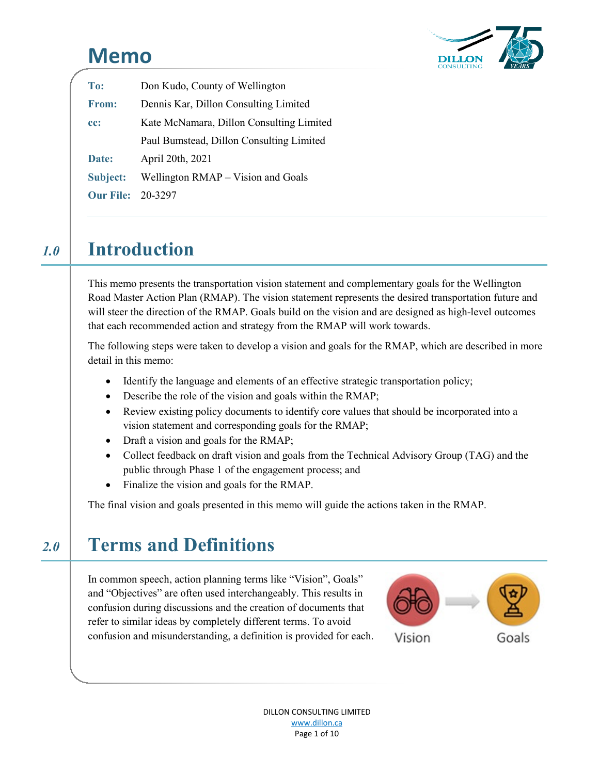# **Memo**



| To:                      | Don Kudo, County of Wellington           |  |  |
|--------------------------|------------------------------------------|--|--|
| <b>From:</b>             | Dennis Kar, Dillon Consulting Limited    |  |  |
| cc:                      | Kate McNamara, Dillon Consulting Limited |  |  |
|                          | Paul Bumstead, Dillon Consulting Limited |  |  |
| Date:                    | April 20th, 2021                         |  |  |
| <b>Subject:</b>          | Wellington RMAP - Vision and Goals       |  |  |
| <b>Our File: 20-3297</b> |                                          |  |  |

# *1.0* **Introduction** 1.0 Introduction

This memo presents the transportation vision statement and complementary goals for the Wellington Road Master Action Plan (RMAP). The vision statement represents the desired transportation future and will steer the direction of the RMAP. Goals build on the vision and are designed as high-level outcomes that each recommended action and strategy from the RMAP will work towards.

The following steps were taken to develop a vision and goals for the RMAP, which are described in more detail in this memo:

- Identify the language and elements of an effective strategic transportation policy;
- Describe the role of the vision and goals within the RMAP;
- Review existing policy documents to identify core values that should be incorporated into a vision statement and corresponding goals for the RMAP;
- Draft a vision and goals for the RMAP;
- Collect feedback on draft vision and goals from the Technical Advisory Group (TAG) and the public through Phase 1 of the engagement process; and
- Finalize the vision and goals for the RMAP.

The final vision and goals presented in this memo will guide the actions taken in the RMAP.

# *2.0* **Terms and Definitions**

In common speech, action planning terms like "Vision", Goals" and "Objectives" are often used interchangeably. This results in confusion during discussions and the creation of documents that refer to similar ideas by completely different terms. To avoid confusion and misunderstanding, a definition is provided for each.



DILLON CONSULTING LIMITED www.dillon.ca Page 1 of 10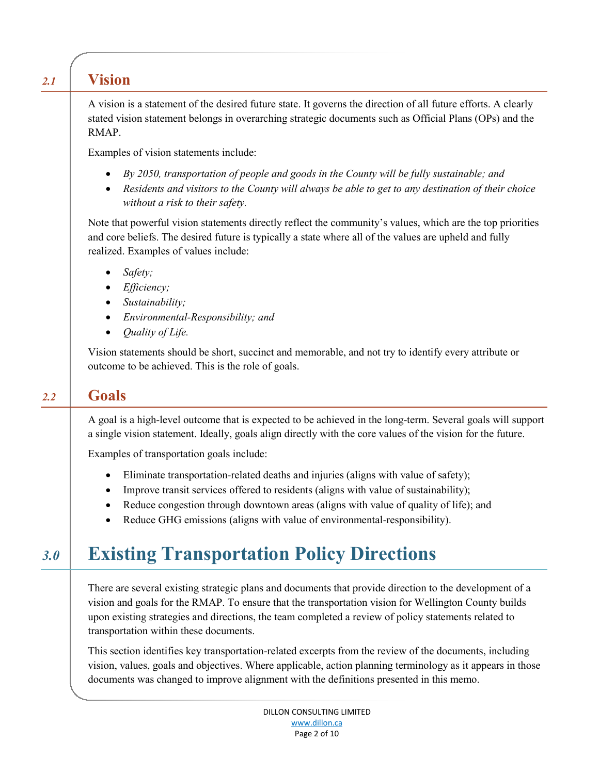## *2.1* **Vision**

A vision is a statement of the desired future state. It governs the direction of all future efforts. A clearly stated vision statement belongs in overarching strategic documents such as Official Plans (OPs) and the RMAP.

Examples of vision statements include:

- *By 2050, transportation of people and goods in the County will be fully sustainable; and*
- *Residents and visitors to the County will always be able to get to any destination of their choice without a risk to their safety.*

Note that powerful vision statements directly reflect the community's values, which are the top priorities and core beliefs. The desired future is typically a state where all of the values are upheld and fully realized. Examples of values include:

- *Safety;*
- *Efficiency;*
- *Sustainability;*
- *Environmental-Responsibility; and*
- *Quality of Life.*

Vision statements should be short, succinct and memorable, and not try to identify every attribute or outcome to be achieved. This is the role of goals.

## *2.2* **Goals**

A goal is a high-level outcome that is expected to be achieved in the long-term. Several goals will support a single vision statement. Ideally, goals align directly with the core values of the vision for the future.

Examples of transportation goals include:

- Eliminate transportation-related deaths and injuries (aligns with value of safety);
- Improve transit services offered to residents (aligns with value of sustainability);
- Reduce congestion through downtown areas (aligns with value of quality of life); and
- Reduce GHG emissions (aligns with value of environmental-responsibility).

# *3.0* **Existing Transportation Policy Directions**

There are several existing strategic plans and documents that provide direction to the development of a vision and goals for the RMAP. To ensure that the transportation vision for Wellington County builds upon existing strategies and directions, the team completed a review of policy statements related to transportation within these documents.

This section identifies key transportation-related excerpts from the review of the documents, including vision, values, goals and objectives. Where applicable, action planning terminology as it appears in those documents was changed to improve alignment with the definitions presented in this memo.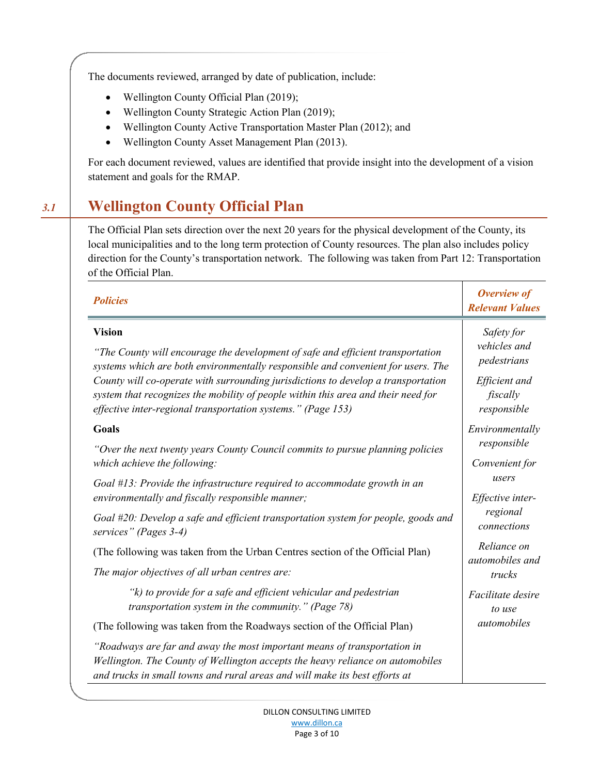The documents reviewed, arranged by date of publication, include:

- Wellington County Official Plan (2019);
- Wellington County Strategic Action Plan (2019);
- Wellington County Active Transportation Master Plan (2012); and
- Wellington County Asset Management Plan (2013).

For each document reviewed, values are identified that provide insight into the development of a vision statement and goals for the RMAP.

## *3.1* **Wellington County Official Plan**

The Official Plan sets direction over the next 20 years for the physical development of the County, its local municipalities and to the long term protection of County resources. The plan also includes policy direction for the County's transportation network. The following was taken from Part 12: Transportation of the Official Plan.

| <b>Policies</b>                                                                                                                                                                                                                                                                                                                                                                                                                | Overview of<br><b>Relevant Values</b>                                                 |
|--------------------------------------------------------------------------------------------------------------------------------------------------------------------------------------------------------------------------------------------------------------------------------------------------------------------------------------------------------------------------------------------------------------------------------|---------------------------------------------------------------------------------------|
| <b>Vision</b><br>"The County will encourage the development of safe and efficient transportation<br>systems which are both environmentally responsible and convenient for users. The<br>County will co-operate with surrounding jurisdictions to develop a transportation<br>system that recognizes the mobility of people within this area and their need for<br>effective inter-regional transportation systems." (Page 153) | Safety for<br>vehicles and<br>pedestrians<br>Efficient and<br>fiscally<br>responsible |
| Goals                                                                                                                                                                                                                                                                                                                                                                                                                          | Environmentally                                                                       |
| "Over the next twenty years County Council commits to pursue planning policies<br>which achieve the following:                                                                                                                                                                                                                                                                                                                 | responsible<br>Convenient for                                                         |
| Goal $#13$ : Provide the infrastructure required to accommodate growth in an<br>environmentally and fiscally responsible manner;                                                                                                                                                                                                                                                                                               | users<br>Effective inter-                                                             |
| Goal #20: Develop a safe and efficient transportation system for people, goods and<br>services" (Pages 3-4)                                                                                                                                                                                                                                                                                                                    | regional<br>connections                                                               |
| (The following was taken from the Urban Centres section of the Official Plan)                                                                                                                                                                                                                                                                                                                                                  | Reliance on<br>automobiles and                                                        |
| The major objectives of all urban centres are:                                                                                                                                                                                                                                                                                                                                                                                 | trucks                                                                                |
| "k) to provide for a safe and efficient vehicular and pedestrian<br>transportation system in the community." (Page 78)                                                                                                                                                                                                                                                                                                         | Facilitate desire<br>to use                                                           |
| (The following was taken from the Roadways section of the Official Plan)                                                                                                                                                                                                                                                                                                                                                       | automobiles                                                                           |
| "Roadways are far and away the most important means of transportation in<br>Wellington. The County of Wellington accepts the heavy reliance on automobiles<br>and trucks in small towns and rural areas and will make its best efforts at                                                                                                                                                                                      |                                                                                       |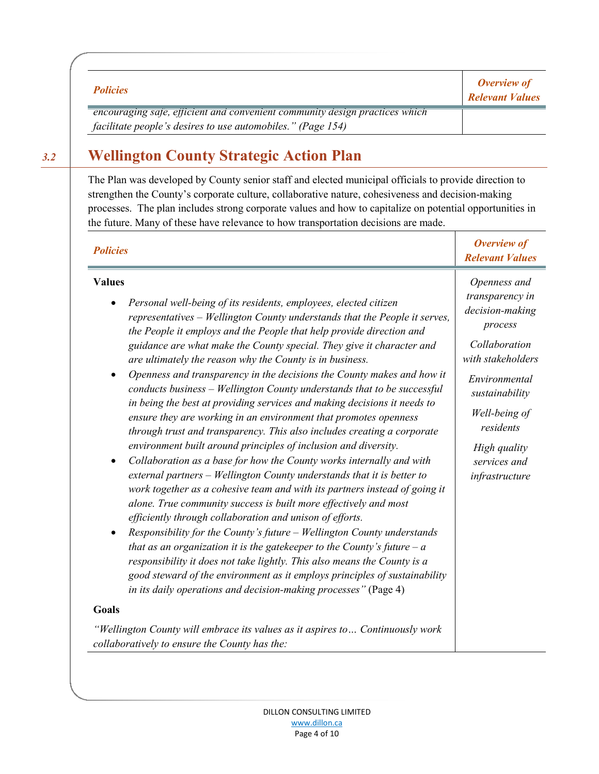| <b>Policies</b>                                                             | <b>Overview of</b><br><b>Relevant Values</b> |
|-----------------------------------------------------------------------------|----------------------------------------------|
| encouraging safe, efficient and convenient community design practices which |                                              |
| facilitate people's desires to use automobiles." (Page 154)                 |                                              |

## *3.2* **Wellington County Strategic Action Plan**

The Plan was developed by County senior staff and elected municipal officials to provide direction to strengthen the County's corporate culture, collaborative nature, cohesiveness and decision-making processes. The plan includes strong corporate values and how to capitalize on potential opportunities in the future. Many of these have relevance to how transportation decisions are made.

| <b>Policies</b>                                                                                                                                                                                                                                                                                                                                                                                                                                                                                                                                                                                                                                                                                                                                                                                                                                                                                                                                                                                                                                                                                                                                                                                                                                                                                                                                                                                                                                                                                                                                                                                                                                                                                                                                                                           | Overview of<br><b>Relevant Values</b>                                                                                                                                                                                  |
|-------------------------------------------------------------------------------------------------------------------------------------------------------------------------------------------------------------------------------------------------------------------------------------------------------------------------------------------------------------------------------------------------------------------------------------------------------------------------------------------------------------------------------------------------------------------------------------------------------------------------------------------------------------------------------------------------------------------------------------------------------------------------------------------------------------------------------------------------------------------------------------------------------------------------------------------------------------------------------------------------------------------------------------------------------------------------------------------------------------------------------------------------------------------------------------------------------------------------------------------------------------------------------------------------------------------------------------------------------------------------------------------------------------------------------------------------------------------------------------------------------------------------------------------------------------------------------------------------------------------------------------------------------------------------------------------------------------------------------------------------------------------------------------------|------------------------------------------------------------------------------------------------------------------------------------------------------------------------------------------------------------------------|
| <b>Values</b><br>Personal well-being of its residents, employees, elected citizen<br>$\bullet$<br>representatives – Wellington County understands that the People it serves,<br>the People it employs and the People that help provide direction and<br>guidance are what make the County special. They give it character and<br>are ultimately the reason why the County is in business.<br>Openness and transparency in the decisions the County makes and how it<br>$\bullet$<br>conducts business - Wellington County understands that to be successful<br>in being the best at providing services and making decisions it needs to<br>ensure they are working in an environment that promotes openness<br>through trust and transparency. This also includes creating a corporate<br>environment built around principles of inclusion and diversity.<br>Collaboration as a base for how the County works internally and with<br>$\bullet$<br>external partners - Wellington County understands that it is better to<br>work together as a cohesive team and with its partners instead of going it<br>alone. True community success is built more effectively and most<br>efficiently through collaboration and unison of efforts.<br>Responsibility for the County's future – Wellington County understands<br>$\bullet$<br>that as an organization it is the gate keeper to the County's future $-a$<br>responsibility it does not take lightly. This also means the County is a<br>good steward of the environment as it employs principles of sustainability<br>in its daily operations and decision-making processes" (Page 4)<br><b>Goals</b><br>"Wellington County will embrace its values as it aspires to Continuously work<br>collaboratively to ensure the County has the: | Openness and<br>transparency in<br>decision-making<br>process<br>Collaboration<br>with stakeholders<br>Environmental<br>sustainability<br>Well-being of<br>residents<br>High quality<br>services and<br>infrastructure |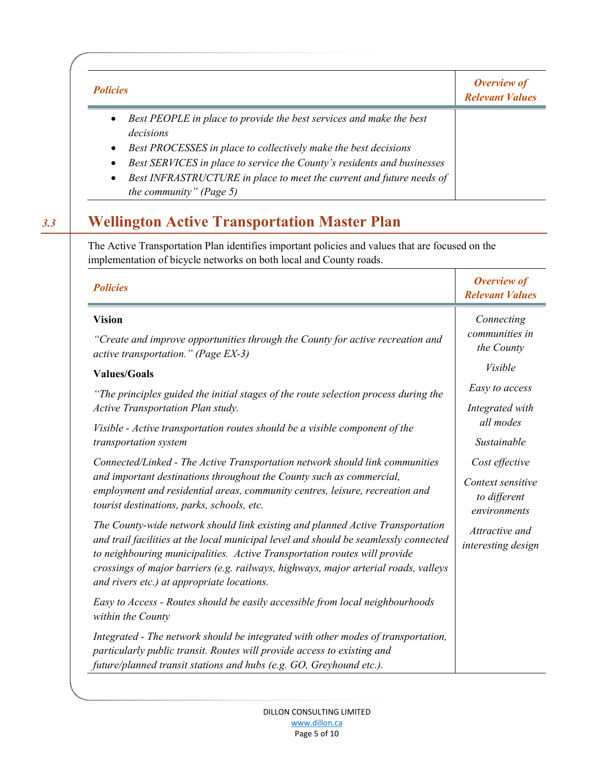| <b>Policies</b>                                                                                                                                                      | <b>Overview of</b><br><b>Relevant Values</b> |
|----------------------------------------------------------------------------------------------------------------------------------------------------------------------|----------------------------------------------|
| Best PEOPLE in place to provide the best services and make the best<br>$\bullet$<br>decisions                                                                        |                                              |
| Best PROCESSES in place to collectively make the best decisions<br>$\bullet$<br>Best SERVICES in place to service the County's residents and businesses<br>$\bullet$ |                                              |
| Best INFRASTRUCTURE in place to meet the current and future needs of<br>$\bullet$<br>the community" (Page 5)                                                         |                                              |

## *3.3* **Wellington Active Transportation Master Plan**

The Active Transportation Plan identifies important policies and values that are focused on the implementation of bicycle networks on both local and County roads.

| <b>Policies</b>                                                                                                                                                                                                                                                                                                                                                                          | Overview of<br><b>Relevant Values</b>                               |
|------------------------------------------------------------------------------------------------------------------------------------------------------------------------------------------------------------------------------------------------------------------------------------------------------------------------------------------------------------------------------------------|---------------------------------------------------------------------|
| <b>Vision</b><br>"Create and improve opportunities through the County for active recreation and<br>active transportation." (Page EX-3)                                                                                                                                                                                                                                                   | Connecting<br>communities in<br>the County                          |
| <b>Values/Goals</b>                                                                                                                                                                                                                                                                                                                                                                      | Visible                                                             |
| "The principles guided the initial stages of the route selection process during the<br><b>Active Transportation Plan study.</b>                                                                                                                                                                                                                                                          | Easy to access<br>Integrated with                                   |
| Visible - Active transportation routes should be a visible component of the<br>transportation system                                                                                                                                                                                                                                                                                     | all modes<br>Sustainable                                            |
| Connected/Linked - The Active Transportation network should link communities<br>and important destinations throughout the County such as commercial,<br>employment and residential areas, community centres, leisure, recreation and<br>tourist destinations, parks, schools, etc.                                                                                                       | Cost effective<br>Context sensitive<br>to different<br>environments |
| The County-wide network should link existing and planned Active Transportation<br>and trail facilities at the local municipal level and should be seamlessly connected<br>to neighbouring municipalities. Active Transportation routes will provide<br>crossings of major barriers (e.g. railways, highways, major arterial roads, valleys<br>and rivers etc.) at appropriate locations. | Attractive and<br>interesting design                                |
| Easy to Access - Routes should be easily accessible from local neighbourhoods<br>within the County                                                                                                                                                                                                                                                                                       |                                                                     |
| Integrated - The network should be integrated with other modes of transportation,<br>particularly public transit. Routes will provide access to existing and<br>future/planned transit stations and hubs (e.g. GO, Greyhound etc.).                                                                                                                                                      |                                                                     |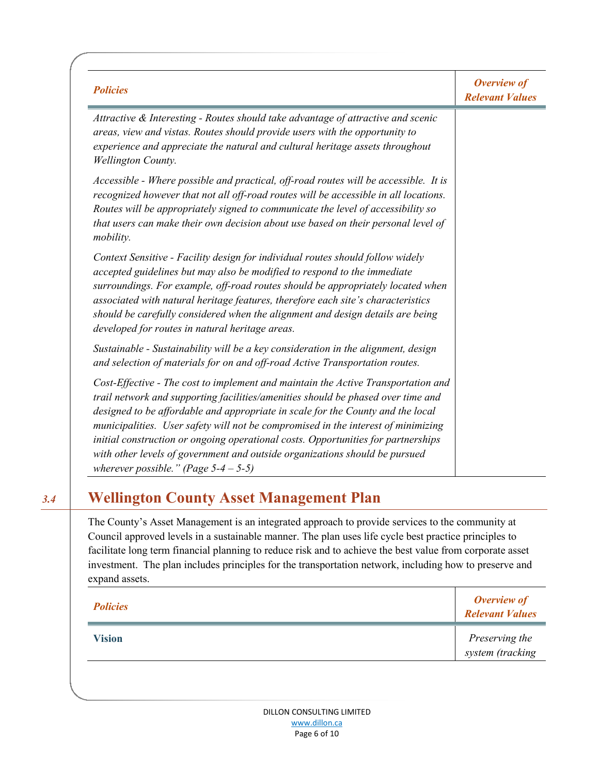| <b>Policies</b>                                                                                                                                                                                                                                                                                                                                                                                                                                                                                                                                            | Overview of<br><b>Relevant Values</b> |
|------------------------------------------------------------------------------------------------------------------------------------------------------------------------------------------------------------------------------------------------------------------------------------------------------------------------------------------------------------------------------------------------------------------------------------------------------------------------------------------------------------------------------------------------------------|---------------------------------------|
| Attractive & Interesting - Routes should take advantage of attractive and scenic<br>areas, view and vistas. Routes should provide users with the opportunity to<br>experience and appreciate the natural and cultural heritage assets throughout<br>Wellington County.                                                                                                                                                                                                                                                                                     |                                       |
| Accessible - Where possible and practical, off-road routes will be accessible. It is<br>recognized however that not all off-road routes will be accessible in all locations.<br>Routes will be appropriately signed to communicate the level of accessibility so<br>that users can make their own decision about use based on their personal level of<br>mobility.                                                                                                                                                                                         |                                       |
| Context Sensitive - Facility design for individual routes should follow widely<br>accepted guidelines but may also be modified to respond to the immediate<br>surroundings. For example, off-road routes should be appropriately located when<br>associated with natural heritage features, therefore each site's characteristics<br>should be carefully considered when the alignment and design details are being<br>developed for routes in natural heritage areas.                                                                                     |                                       |
| Sustainable - Sustainability will be a key consideration in the alignment, design<br>and selection of materials for on and off-road Active Transportation routes.                                                                                                                                                                                                                                                                                                                                                                                          |                                       |
| Cost-Effective - The cost to implement and maintain the Active Transportation and<br>trail network and supporting facilities/amenities should be phased over time and<br>designed to be affordable and appropriate in scale for the County and the local<br>municipalities. User safety will not be compromised in the interest of minimizing<br>initial construction or ongoing operational costs. Opportunities for partnerships<br>with other levels of government and outside organizations should be pursued<br>wherever possible." (Page $5-4-5-5$ ) |                                       |

## *3.4* **Wellington County Asset Management Plan**

The County's Asset Management is an integrated approach to provide services to the community at Council approved levels in a sustainable manner. The plan uses life cycle best practice principles to facilitate long term financial planning to reduce risk and to achieve the best value from corporate asset investment. The plan includes principles for the transportation network, including how to preserve and expand assets.

| <b>Policies</b> | <b>Overview of</b><br><b>Relevant Values</b> |
|-----------------|----------------------------------------------|
| <b>Vision</b>   | Preserving the<br>system (tracking           |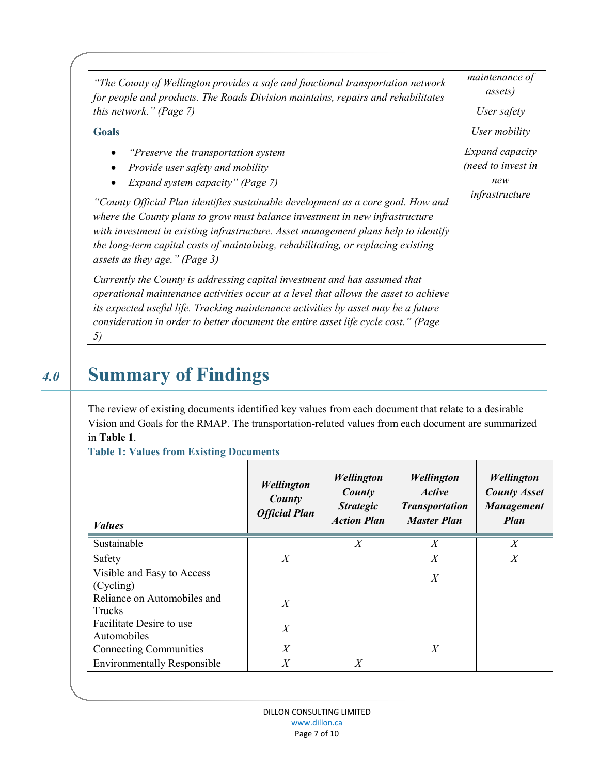| "The County of Wellington provides a safe and functional transportation network<br>for people and products. The Roads Division maintains, repairs and rehabilitates                                                                                                                                                                                                           | maintenance of<br>assets) |
|-------------------------------------------------------------------------------------------------------------------------------------------------------------------------------------------------------------------------------------------------------------------------------------------------------------------------------------------------------------------------------|---------------------------|
| <i>this network.</i> " (Page 7)                                                                                                                                                                                                                                                                                                                                               | User safety               |
| <b>Goals</b>                                                                                                                                                                                                                                                                                                                                                                  | User mobility             |
| "Preserve the transportation system"                                                                                                                                                                                                                                                                                                                                          | <i>Expand capacity</i>    |
| Provide user safety and mobility                                                                                                                                                                                                                                                                                                                                              | (need to invest in        |
| Expand system capacity" (Page 7)                                                                                                                                                                                                                                                                                                                                              | new                       |
| "County Official Plan identifies sustainable development as a core goal. How and<br>where the County plans to grow must balance investment in new infrastructure<br>with investment in existing infrastructure. Asset management plans help to identify<br>the long-term capital costs of maintaining, rehabilitating, or replacing existing<br>assets as they age." (Page 3) | infrastructure            |
| Currently the County is addressing capital investment and has assumed that<br>operational maintenance activities occur at a level that allows the asset to achieve<br>its expected useful life. Tracking maintenance activities by asset may be a future<br>consideration in order to better document the entire asset life cycle cost." (Page<br>5)                          |                           |

# *4.0* **Summary of Findings**

The review of existing documents identified key values from each document that relate to a desirable Vision and Goals for the RMAP. The transportation-related values from each document are summarized in **Table 1**.

**Table 1: Values from Existing Documents**

| <i>Values</i>                           | <b>Wellington</b><br>County<br><b>Official Plan</b> | <b>Wellington</b><br>County<br><b>Strategic</b><br><b>Action Plan</b> | <b>Wellington</b><br><i><b>Active</b></i><br><b>Transportation</b><br><b>Master Plan</b> | <b>Wellington</b><br><b>County Asset</b><br><b>Management</b><br><b>Plan</b> |
|-----------------------------------------|-----------------------------------------------------|-----------------------------------------------------------------------|------------------------------------------------------------------------------------------|------------------------------------------------------------------------------|
| Sustainable                             |                                                     | X                                                                     | X                                                                                        | X                                                                            |
| Safety                                  | X                                                   |                                                                       | X                                                                                        | X                                                                            |
| Visible and Easy to Access<br>(Cycling) |                                                     |                                                                       | X                                                                                        |                                                                              |
| Reliance on Automobiles and<br>Trucks   | X                                                   |                                                                       |                                                                                          |                                                                              |
| Facilitate Desire to use<br>Automobiles | X                                                   |                                                                       |                                                                                          |                                                                              |
| <b>Connecting Communities</b>           | X                                                   |                                                                       | X                                                                                        |                                                                              |
| <b>Environmentally Responsible</b>      | $X \$                                               | X                                                                     |                                                                                          |                                                                              |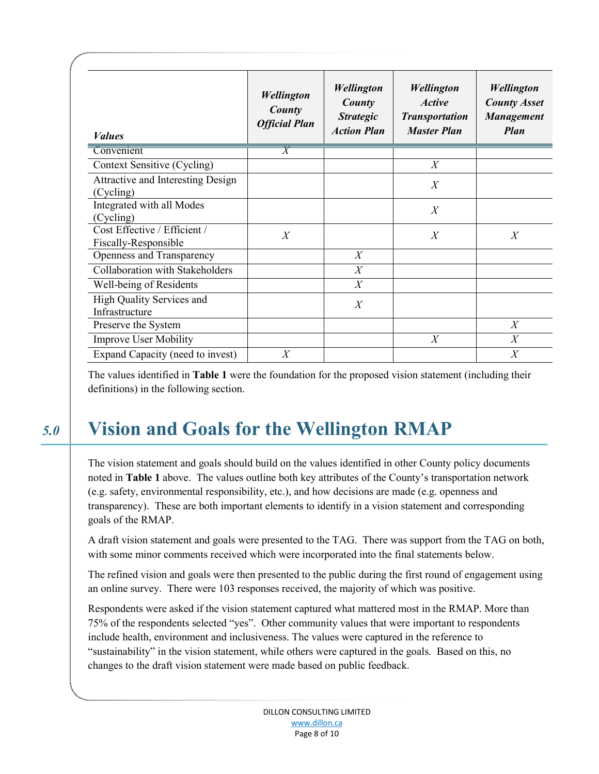| <b>Values</b>                                        | <b>Wellington</b><br>County<br><b>Official Plan</b> | <b>Wellington</b><br>County<br><b>Strategic</b><br><b>Action Plan</b> | <b>Wellington</b><br><i><b>Active</b></i><br><b>Transportation</b><br><b>Master Plan</b> | <b>Wellington</b><br><b>County Asset</b><br><b>Management</b><br><b>Plan</b> |
|------------------------------------------------------|-----------------------------------------------------|-----------------------------------------------------------------------|------------------------------------------------------------------------------------------|------------------------------------------------------------------------------|
| Convenient                                           | $\overline{X}$                                      |                                                                       |                                                                                          |                                                                              |
| Context Sensitive (Cycling)                          |                                                     |                                                                       | $\overline{X}$                                                                           |                                                                              |
| Attractive and Interesting Design<br>(Cycling)       |                                                     |                                                                       | X                                                                                        |                                                                              |
| Integrated with all Modes<br>(Cycling)               |                                                     |                                                                       | $\overline{X}$                                                                           |                                                                              |
| Cost Effective / Efficient /<br>Fiscally-Responsible | $\overline{X}$                                      |                                                                       | X                                                                                        | $\overline{X}$                                                               |
| Openness and Transparency                            |                                                     | X                                                                     |                                                                                          |                                                                              |
| Collaboration with Stakeholders                      |                                                     | $\overline{X}$                                                        |                                                                                          |                                                                              |
| Well-being of Residents                              |                                                     | $\overline{X}$                                                        |                                                                                          |                                                                              |
| High Quality Services and<br>Infrastructure          |                                                     | $\overline{X}$                                                        |                                                                                          |                                                                              |
| Preserve the System                                  |                                                     |                                                                       |                                                                                          | X                                                                            |
| <b>Improve User Mobility</b>                         |                                                     |                                                                       | X                                                                                        | $\overline{X}$                                                               |
| Expand Capacity (need to invest)                     | $\overline{X}$                                      |                                                                       |                                                                                          | X                                                                            |

The values identified in **Table 1** were the foundation for the proposed vision statement (including their definitions) in the following section.

# *5.0* **Vision and Goals for the Wellington RMAP**

The vision statement and goals should build on the values identified in other County policy documents noted in **Table 1** above. The values outline both key attributes of the County's transportation network (e.g. safety, environmental responsibility, etc.), and how decisions are made (e.g. openness and transparency). These are both important elements to identify in a vision statement and corresponding goals of the RMAP.

A draft vision statement and goals were presented to the TAG. There was support from the TAG on both, with some minor comments received which were incorporated into the final statements below.

The refined vision and goals were then presented to the public during the first round of engagement using an online survey. There were 103 responses received, the majority of which was positive.

Respondents were asked if the vision statement captured what mattered most in the RMAP. More than 75% of the respondents selected "yes". Other community values that were important to respondents include health, environment and inclusiveness. The values were captured in the reference to "sustainability" in the vision statement, while others were captured in the goals. Based on this, no changes to the draft vision statement were made based on public feedback.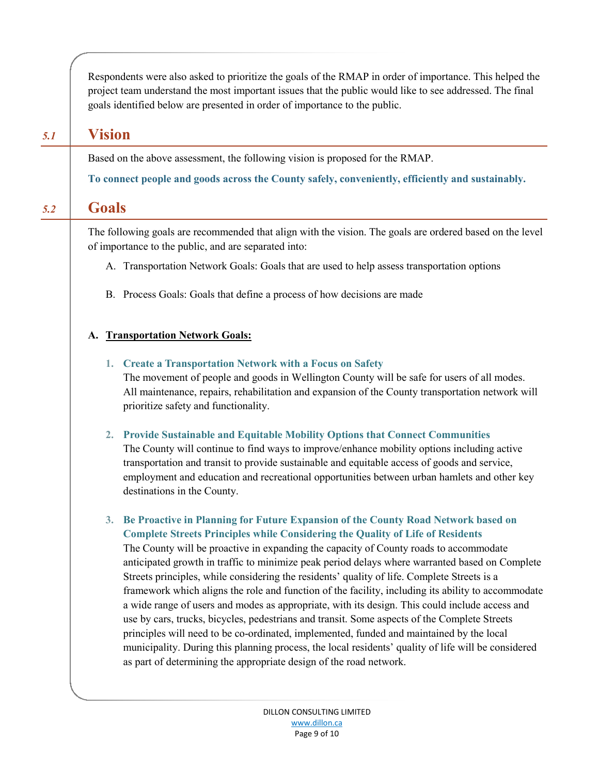Respondents were also asked to prioritize the goals of the RMAP in order of importance. This helped the project team understand the most important issues that the public would like to see addressed. The final goals identified below are presented in order of importance to the public.

### *5.1* **Vision**

Based on the above assessment, the following vision is proposed for the RMAP.

**To connect people and goods across the County safely, conveniently, efficiently and sustainably.**

### *5.2* **Goals**

The following goals are recommended that align with the vision. The goals are ordered based on the level of importance to the public, and are separated into:

- A. Transportation Network Goals: Goals that are used to help assess transportation options
- B. Process Goals: Goals that define a process of how decisions are made

### **A. Transportation Network Goals:**

### **1. Create a Transportation Network with a Focus on Safety**

The movement of people and goods in Wellington County will be safe for users of all modes. All maintenance, repairs, rehabilitation and expansion of the County transportation network will prioritize safety and functionality.

**2. Provide Sustainable and Equitable Mobility Options that Connect Communities**

The County will continue to find ways to improve/enhance mobility options including active transportation and transit to provide sustainable and equitable access of goods and service, employment and education and recreational opportunities between urban hamlets and other key destinations in the County.

**3. Be Proactive in Planning for Future Expansion of the County Road Network based on Complete Streets Principles while Considering the Quality of Life of Residents**

The County will be proactive in expanding the capacity of County roads to accommodate anticipated growth in traffic to minimize peak period delays where warranted based on Complete Streets principles, while considering the residents' quality of life. Complete Streets is a framework which aligns the role and function of the facility, including its ability to accommodate a wide range of users and modes as appropriate, with its design. This could include access and use by cars, trucks, bicycles, pedestrians and transit. Some aspects of the Complete Streets principles will need to be co-ordinated, implemented, funded and maintained by the local municipality. During this planning process, the local residents' quality of life will be considered as part of determining the appropriate design of the road network.